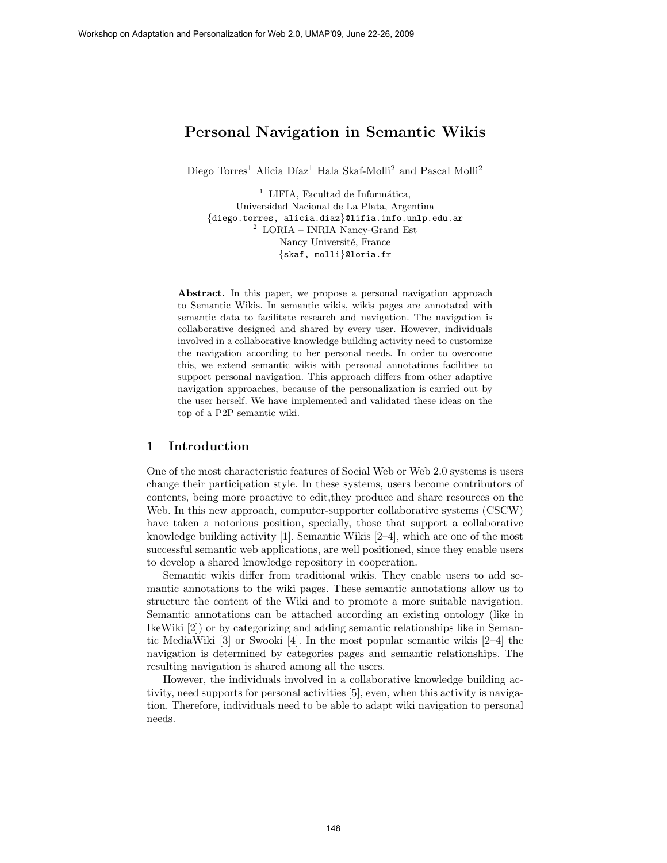# Personal Navigation in Semantic Wikis

Diego Torres<sup>1</sup> Alicia Díaz<sup>1</sup> Hala Skaf-Molli<sup>2</sup> and Pascal Molli<sup>2</sup>

 $1$  LIFIA, Facultad de Informática, Universidad Nacional de La Plata, Argentina {diego.torres, alicia.diaz}@lifia.info.unlp.edu.ar  $2$  LORIA – INRIA Nancy-Grand Est Nancy Université, France {skaf, molli}@loria.fr

Abstract. In this paper, we propose a personal navigation approach to Semantic Wikis. In semantic wikis, wikis pages are annotated with semantic data to facilitate research and navigation. The navigation is collaborative designed and shared by every user. However, individuals involved in a collaborative knowledge building activity need to customize the navigation according to her personal needs. In order to overcome this, we extend semantic wikis with personal annotations facilities to support personal navigation. This approach differs from other adaptive navigation approaches, because of the personalization is carried out by the user herself. We have implemented and validated these ideas on the top of a P2P semantic wiki.

### 1 Introduction

One of the most characteristic features of Social Web or Web 2.0 systems is users change their participation style. In these systems, users become contributors of contents, being more proactive to edit,they produce and share resources on the Web. In this new approach, computer-supporter collaborative systems (CSCW) have taken a notorious position, specially, those that support a collaborative knowledge building activity  $|1|$ . Semantic Wikis  $|2-4|$ , which are one of the most successful semantic web applications, are well positioned, since they enable users to develop a shared knowledge repository in cooperation.

Semantic wikis differ from traditional wikis. They enable users to add semantic annotations to the wiki pages. These semantic annotations allow us to structure the content of the Wiki and to promote a more suitable navigation. Semantic annotations can be attached according an existing ontology (like in IkeWiki [2]) or by categorizing and adding semantic relationships like in Semantic MediaWiki [3] or Swooki [4]. In the most popular semantic wikis [2–4] the navigation is determined by categories pages and semantic relationships. The resulting navigation is shared among all the users.

However, the individuals involved in a collaborative knowledge building activity, need supports for personal activities [5], even, when this activity is navigation. Therefore, individuals need to be able to adapt wiki navigation to personal needs.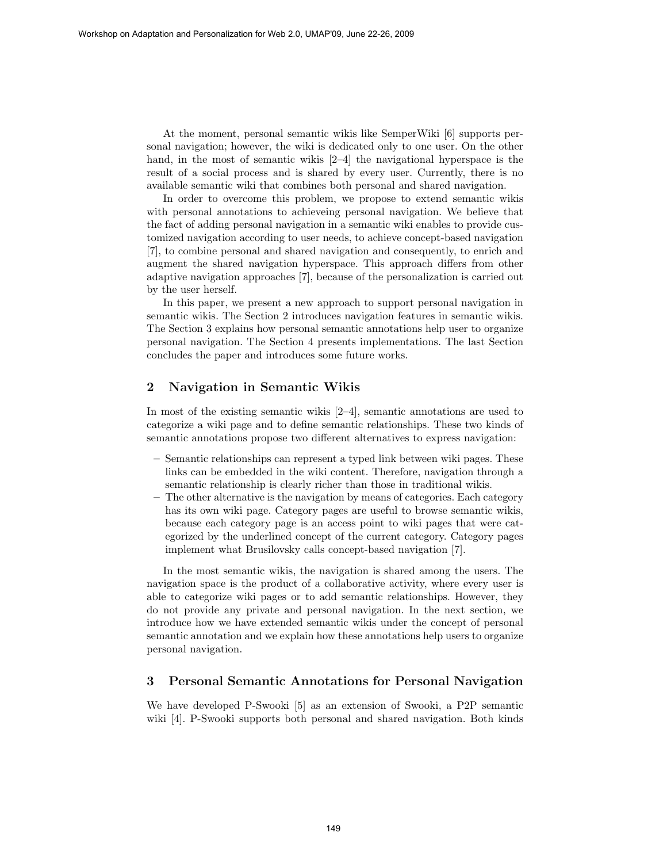At the moment, personal semantic wikis like SemperWiki [6] supports personal navigation; however, the wiki is dedicated only to one user. On the other hand, in the most of semantic wikis [2–4] the navigational hyperspace is the result of a social process and is shared by every user. Currently, there is no available semantic wiki that combines both personal and shared navigation.

In order to overcome this problem, we propose to extend semantic wikis with personal annotations to achieveing personal navigation. We believe that the fact of adding personal navigation in a semantic wiki enables to provide customized navigation according to user needs, to achieve concept-based navigation [7], to combine personal and shared navigation and consequently, to enrich and augment the shared navigation hyperspace. This approach differs from other adaptive navigation approaches [7], because of the personalization is carried out by the user herself.

In this paper, we present a new approach to support personal navigation in semantic wikis. The Section 2 introduces navigation features in semantic wikis. The Section 3 explains how personal semantic annotations help user to organize personal navigation. The Section 4 presents implementations. The last Section concludes the paper and introduces some future works.

## 2 Navigation in Semantic Wikis

In most of the existing semantic wikis [2–4], semantic annotations are used to categorize a wiki page and to define semantic relationships. These two kinds of semantic annotations propose two different alternatives to express navigation:

- Semantic relationships can represent a typed link between wiki pages. These links can be embedded in the wiki content. Therefore, navigation through a semantic relationship is clearly richer than those in traditional wikis.
- The other alternative is the navigation by means of categories. Each category has its own wiki page. Category pages are useful to browse semantic wikis, because each category page is an access point to wiki pages that were categorized by the underlined concept of the current category. Category pages implement what Brusilovsky calls concept-based navigation [7].

In the most semantic wikis, the navigation is shared among the users. The navigation space is the product of a collaborative activity, where every user is able to categorize wiki pages or to add semantic relationships. However, they do not provide any private and personal navigation. In the next section, we introduce how we have extended semantic wikis under the concept of personal semantic annotation and we explain how these annotations help users to organize personal navigation.

#### 3 Personal Semantic Annotations for Personal Navigation

We have developed P-Swooki [5] as an extension of Swooki, a P2P semantic wiki [4]. P-Swooki supports both personal and shared navigation. Both kinds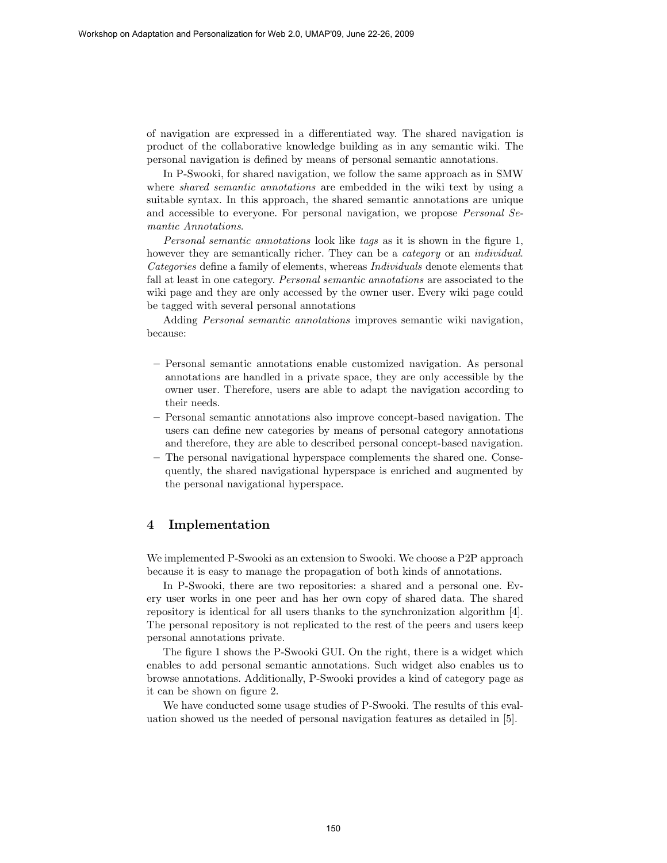of navigation are expressed in a differentiated way. The shared navigation is product of the collaborative knowledge building as in any semantic wiki. The personal navigation is defined by means of personal semantic annotations.

In P-Swooki, for shared navigation, we follow the same approach as in SMW where *shared semantic annotations* are embedded in the wiki text by using a suitable syntax. In this approach, the shared semantic annotations are unique and accessible to everyone. For personal navigation, we propose Personal Semantic Annotations.

Personal semantic annotations look like tags as it is shown in the figure 1, however they are semantically richer. They can be a *category* or an *individual*. Categories define a family of elements, whereas Individuals denote elements that fall at least in one category. Personal semantic annotations are associated to the wiki page and they are only accessed by the owner user. Every wiki page could be tagged with several personal annotations

Adding Personal semantic annotations improves semantic wiki navigation, because:

- Personal semantic annotations enable customized navigation. As personal annotations are handled in a private space, they are only accessible by the owner user. Therefore, users are able to adapt the navigation according to their needs.
- Personal semantic annotations also improve concept-based navigation. The users can define new categories by means of personal category annotations and therefore, they are able to described personal concept-based navigation.
- The personal navigational hyperspace complements the shared one. Consequently, the shared navigational hyperspace is enriched and augmented by the personal navigational hyperspace.

## 4 Implementation

We implemented P-Swooki as an extension to Swooki. We choose a P2P approach because it is easy to manage the propagation of both kinds of annotations.

In P-Swooki, there are two repositories: a shared and a personal one. Every user works in one peer and has her own copy of shared data. The shared repository is identical for all users thanks to the synchronization algorithm [4]. The personal repository is not replicated to the rest of the peers and users keep personal annotations private.

The figure 1 shows the P-Swooki GUI. On the right, there is a widget which enables to add personal semantic annotations. Such widget also enables us to browse annotations. Additionally, P-Swooki provides a kind of category page as it can be shown on figure 2.

We have conducted some usage studies of P-Swooki. The results of this evaluation showed us the needed of personal navigation features as detailed in [5].